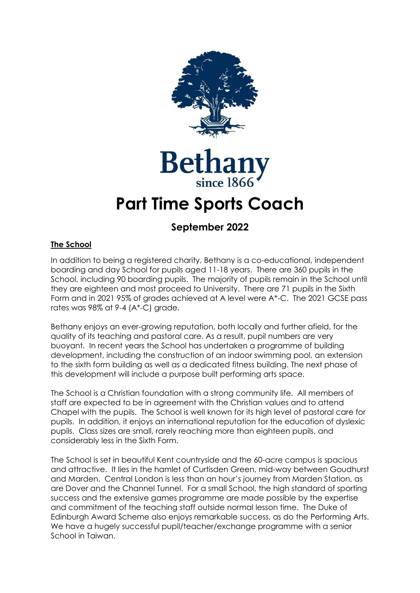



# **Part Time Sports Coach**

# **September 2022**

## **The School**

In addition to being a registered charity, Bethany is a co-educational, independent boarding and day School for pupils aged 11-18 years. There are 360 pupils in the School, including 90 boarding pupils. The majority of pupils remain in the School until they are eighteen and most proceed to University. There are 71 pupils in the Sixth Form and in 2021 95% of grades achieved at A level were A\*-C. The 2021 GCSE pass rates was 98% at 9-4 (A\*-C) grade.

Bethany enjoys an ever-growing reputation, both locally and further afield, for the quality of its teaching and pastoral care. As a result, pupil numbers are very buoyant. In recent years the School has undertaken a programme of building development, including the construction of an indoor swimming pool, an extension to the sixth form building as well as a dedicated fitness building. The next phase of this development will include a purpose built performing arts space.

The School is a Christian foundation with a strong community life. All members of staff are expected to be in agreement with the Christian values and to attend Chapel with the pupils. The School is well known for its high level of pastoral care for pupils. In addition, it enjoys an international reputation for the education of dyslexic pupils. Class sizes are small, rarely reaching more than eighteen pupils, and considerably less in the Sixth Form.

The School is set in beautiful Kent countryside and the 60-acre campus is spacious and attractive. It lies in the hamlet of Curtisden Green, mid-way between Goudhurst and Marden. Central London is less than an hour's journey from Marden Station, as are Dover and the Channel Tunnel. For a small School, the high standard of sporting success and the extensive games programme are made possible by the expertise and commitment of the teaching staff outside normal lesson time. The Duke of Edinburgh Award Scheme also enjoys remarkable success, as do the Performing Arts. We have a hugely successful pupil/teacher/exchange programme with a senior School in Taiwan.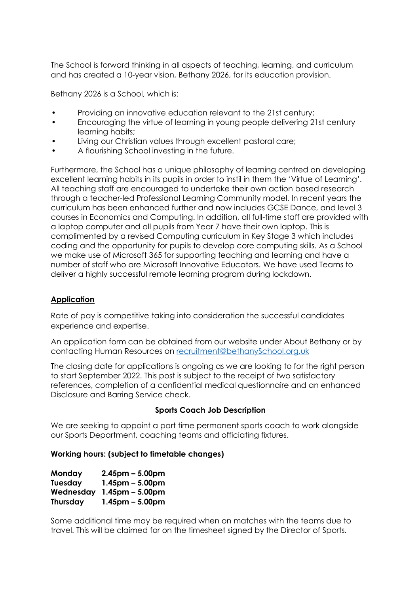The School is forward thinking in all aspects of teaching, learning, and curriculum and has created a 10-year vision, Bethany 2026, for its education provision.

Bethany 2026 is a School, which is:

- Providing an innovative education relevant to the 21st century;
- Encouraging the virtue of learning in young people delivering 21st century learning habits;
- Living our Christian values through excellent pastoral care;
- A flourishing School investing in the future.

Furthermore, the School has a unique philosophy of learning centred on developing excellent learning habits in its pupils in order to instil in them the 'Virtue of Learning'. All teaching staff are encouraged to undertake their own action based research through a teacher-led Professional Learning Community model. In recent years the curriculum has been enhanced further and now includes GCSE Dance, and level 3 courses in Economics and Computing. In addition, all full-time staff are provided with a laptop computer and all pupils from Year 7 have their own laptop. This is complimented by a revised Computing curriculum in Key Stage 3 which includes coding and the opportunity for pupils to develop core computing skills. As a School we make use of Microsoft 365 for supporting teaching and learning and have a number of staff who are Microsoft Innovative Educators. We have used Teams to deliver a highly successful remote learning program during lockdown.

### **Application**

Rate of pay is competitive taking into consideration the successful candidates experience and expertise.

An application form can be obtained from our website under About Bethany or by contacting Human Resources on [recruitment@bethanySchool.org.uk](mailto:recruitment@bethanyschool.org.uk)

The closing date for applications is ongoing as we are looking to for the right person to start September 2022. This post is subject to the receipt of two satisfactory references, completion of a confidential medical questionnaire and an enhanced Disclosure and Barring Service check.

### **Sports Coach Job Description**

We are seeking to appoint a part time permanent sports coach to work alongside our Sports Department, coaching teams and officiating fixtures.

#### **Working hours: (subject to timetable changes)**

| Monday          | $2.45$ pm – 5.00pm |
|-----------------|--------------------|
| Tuesday         | $1.45$ pm – 5.00pm |
| Wednesday       | $1.45$ pm – 5.00pm |
| <b>Thursday</b> | $1.45$ pm – 5.00pm |

Some additional time may be required when on matches with the teams due to travel. This will be claimed for on the timesheet signed by the Director of Sports.